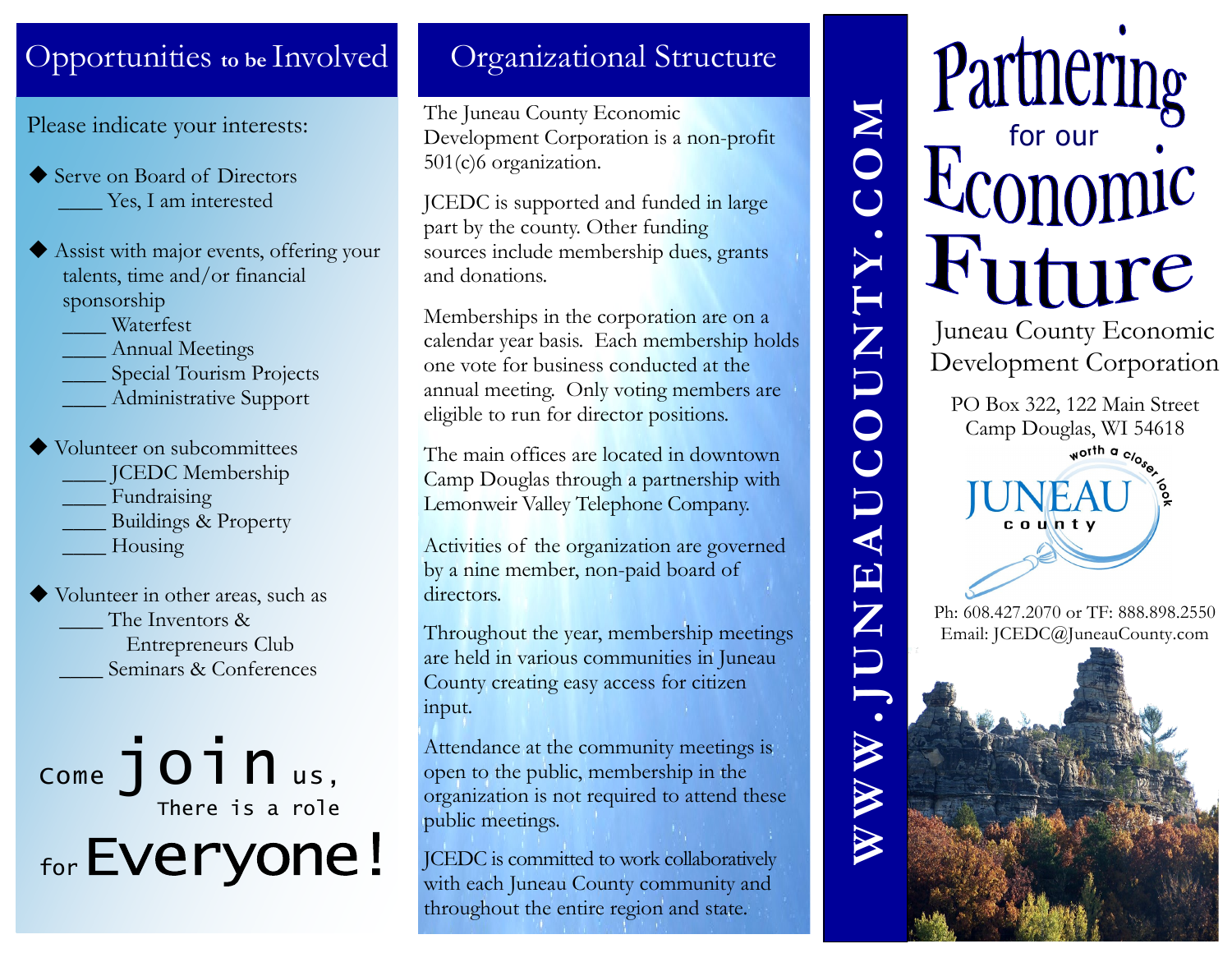#### Opportunities **to be** Involved

Please indicate your interests:

- ◆ Serve on Board of Directors Yes, I am interested
- Assist with major events, offering your talents, time and/or financial sponsorship

\_\_\_\_ Waterfest

- Annual Meetings
- Special Tourism Projects
- \_\_\_\_ Administrative Support
- ◆ Volunteer on subcommittees
	- \_\_\_\_ JCEDC Membership
	- Fundraising
	- \_\_\_\_ Buildings & Property
	- \_\_\_\_ Housing

 Volunteer in other areas, such as The Inventors & Entrepreneurs Club Seminars & Conferences

 $_{\text{come}}$ join  $_{\text{us}}$ , There is a role for Everyone!

#### Organizational Structure

The Juneau County Economic Development Corporation is a non-profit 501(c)6 organization.

JCEDC is supported and funded in large part by the county. Other funding sources include membership dues, grants and donations.

Memberships in the corporation are on a calendar year basis. Each membership holds one vote for business conducted at the annual meeting. Only voting members are eligible to run for director positions.

The main offices are located in downtown Camp Douglas through a partnership with Lemonweir Valley Telephone Company.

Activities of the organization are governed by a nine member, non-paid board of directors.

Throughout the year, membership meetings are held in various communities in Juneau County creating easy access for citizen input.

Attendance at the community meetings is open to the public, membership in the organization is not required to attend these public meetings.

JCEDC is committed to work collaboratively with each Juneau County community and throughout the entire region and state.

# Partnering **C O M J U N E A U C O U N T Y** Juneau County Economic Development Corporation PO Box 322, 122 Main Street Camp Douglas, WI 54618 worth a c/o Ph: 608.427.2070 or TF: 888.898.2550 Email: JCEDC@JuneauCounty.com**W W W**

**.**

**.**